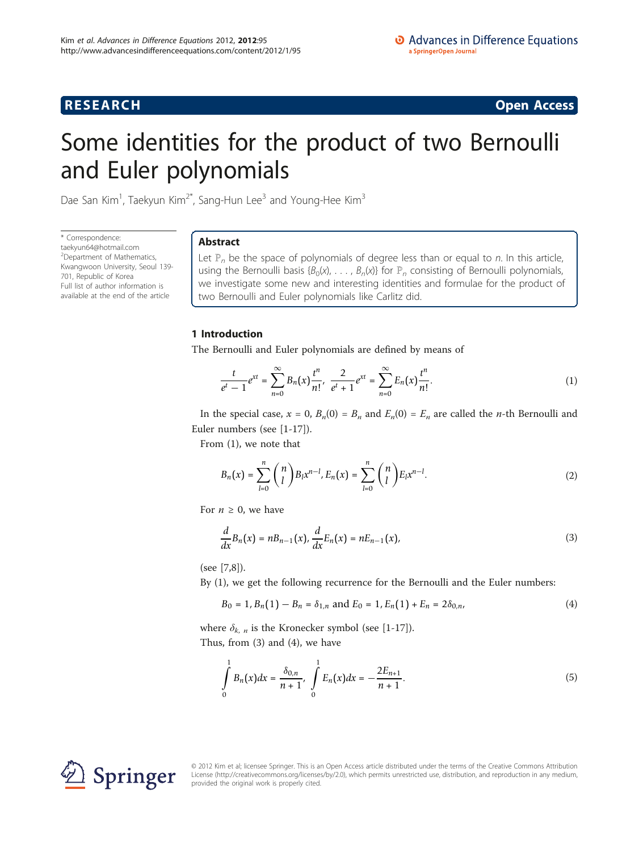**RESEARCH CONSTRUCTION CONSTRUCTS** 

# Some identities for the product of two Bernoulli and Euler polynomials

Dae San Kim<sup>1</sup>, Taekyun Kim<sup>2\*</sup>, Sang-Hun Lee<sup>3</sup> and Young-Hee Kim<sup>3</sup>

\* Correspondence: [taekyun64@hotmail.com](mailto:taekyun64@hotmail.com) <sup>2</sup>Department of Mathematics, Kwangwoon University, Seoul 139- 701, Republic of Korea Full list of author information is available at the end of the article

# Abstract

Let  $\mathbb{P}_n$  be the space of polynomials of degree less than or equal to n. In this article, using the Bernoulli basis { $B_0(x)$ , ...,  $B_n(x)$ } for  $\mathbb{P}_n$  consisting of Bernoulli polynomials, we investigate some new and interesting identities and formulae for the product of two Bernoulli and Euler polynomials like Carlitz did.

# 1 Introduction

The Bernoulli and Euler polynomials are defined by means of

$$
\frac{t}{e^t - 1} e^{xt} = \sum_{n=0}^{\infty} B_n(x) \frac{t^n}{n!}, \ \frac{2}{e^t + 1} e^{xt} = \sum_{n=0}^{\infty} E_n(x) \frac{t^n}{n!}.
$$
 (1)

In the special case,  $x = 0$ ,  $B_n(0) = B_n$  and  $E_n(0) = E_n$  are called the *n*-th Bernoulli and Euler numbers (see [\[1](#page-12-0)-[17](#page-13-0)]).

From (1), we note that

$$
B_n(x) = \sum_{l=0}^n \binom{n}{l} B_l x^{n-l}, E_n(x) = \sum_{l=0}^n \binom{n}{l} E_l x^{n-l}.
$$
 (2)

For  $n \geq 0$ , we have

$$
\frac{d}{dx}B_n(x) = nB_{n-1}(x), \frac{d}{dx}E_n(x) = nE_{n-1}(x),
$$
\n(3)

(see [[7,8\]](#page-12-0)).

By (1), we get the following recurrence for the Bernoulli and the Euler numbers:

$$
B_0 = 1, B_n(1) - B_n = \delta_{1,n} \text{ and } E_0 = 1, E_n(1) + E_n = 2\delta_{0,n}, \tag{4}
$$

where  $\delta_{k, n}$  is the Kronecker symbol (see [[1-](#page-12-0)[17\]](#page-13-0)).

Thus, from (3) and (4), we have

$$
\int_{0}^{1} B_{n}(x)dx = \frac{\delta_{0,n}}{n+1}, \int_{0}^{1} E_{n}(x)dx = -\frac{2E_{n+1}}{n+1}.
$$
\n(5)



© 2012 Kim et al; licensee Springer. This is an Open Access article distributed under the terms of the Creative Commons Attribution License [\(http://creativecommons.org/licenses/by/2.0](http://creativecommons.org/licenses/by/2.0)), which permits unrestricted use, distribution, and reproduction in any medium, provided the original work is properly cited.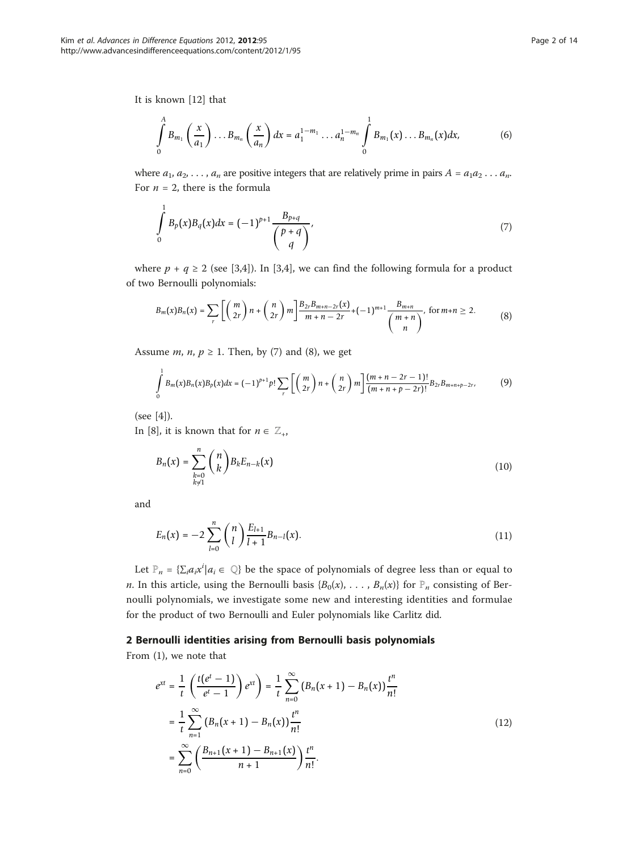It is known [[12\]](#page-12-0) that

 $\overline{1}$ 

$$
\int_{0}^{A} B_{m_1}\left(\frac{x}{a_1}\right)\dots B_{m_n}\left(\frac{x}{a_n}\right)dx = a_1^{1-m_1}\dots a_n^{1-m_n}\int_{0}^{1} B_{m_1}(x)\dots B_{m_n}(x)dx,
$$
\n(6)

where  $a_1, a_2, \ldots, a_n$  are positive integers that are relatively prime in pairs  $A = a_1 a_2 \ldots a_n$ . For  $n = 2$ , there is the formula

$$
\int_{0}^{1} B_{p}(x)B_{q}(x)dx = (-1)^{p+1} \frac{B_{p+q}}{\binom{p+q}{q}},\tag{7}
$$

where  $p + q \ge 2$  (see [[3](#page-12-0),[4\]](#page-12-0)). In [[3,4\]](#page-12-0), we can find the following formula for a product of two Bernoulli polynomials:

$$
B_m(x)B_n(x) = \sum_r \left[ \binom{m}{2r} n + \binom{n}{2r} m \right] \frac{B_{2r}B_{m+n-2r}(x)}{m+n-2r} + (-1)^{m+1} \frac{B_{m+n}}{\binom{m+n}{n}}, \text{ for } m+n \ge 2. \tag{8}
$$

Assume *m*, *n*,  $p \ge 1$ . Then, by (7) and (8), we get

$$
\int_{0}^{1} B_{m}(x)B_{n}(x)B_{p}(x)dx = (-1)^{p+1}p!\sum_{r}\left[\binom{m}{2r}n+\binom{n}{2r}m\right]\frac{(m+n-2r-1)!}{(m+n+p-2r)!}B_{2r}B_{m+n+p-2r},\tag{9}
$$

(see [[4\]](#page-12-0)).

In [[8\]](#page-12-0), it is known that for  $n \in \mathbb{Z}_+$ ,

$$
B_n(x) = \sum_{\substack{k=0 \ k \neq 1}}^n {n \choose k} B_k E_{n-k}(x)
$$
\n(10)

and

$$
E_n(x) = -2 \sum_{l=0}^n {n \choose l} \frac{E_{l+1}}{l+1} B_{n-l}(x).
$$
 (11)

Let  $\mathbb{P}_n = \{\sum_i a_i x^i | a_i \in \mathbb{Q}\}\$  be the space of polynomials of degree less than or equal to *n*. In this article, using the Bernoulli basis { $B_0(x)$ , ...,  $B_n(x)$ } for  $\mathbb{P}_n$  consisting of Bernoulli polynomials, we investigate some new and interesting identities and formulae for the product of two Bernoulli and Euler polynomials like Carlitz did.

## 2 Bernoulli identities arising from Bernoulli basis polynomials

From (1), we note that

$$
e^{xt} = \frac{1}{t} \left( \frac{t(e^t - 1)}{e^t - 1} \right) e^{xt} = \frac{1}{t} \sum_{n=0}^{\infty} (B_n(x + 1) - B_n(x)) \frac{t^n}{n!}
$$
  

$$
= \frac{1}{t} \sum_{n=1}^{\infty} (B_n(x + 1) - B_n(x)) \frac{t^n}{n!}
$$
  

$$
= \sum_{n=0}^{\infty} \left( \frac{B_{n+1}(x + 1) - B_{n+1}(x)}{n+1} \right) \frac{t^n}{n!}.
$$
 (12)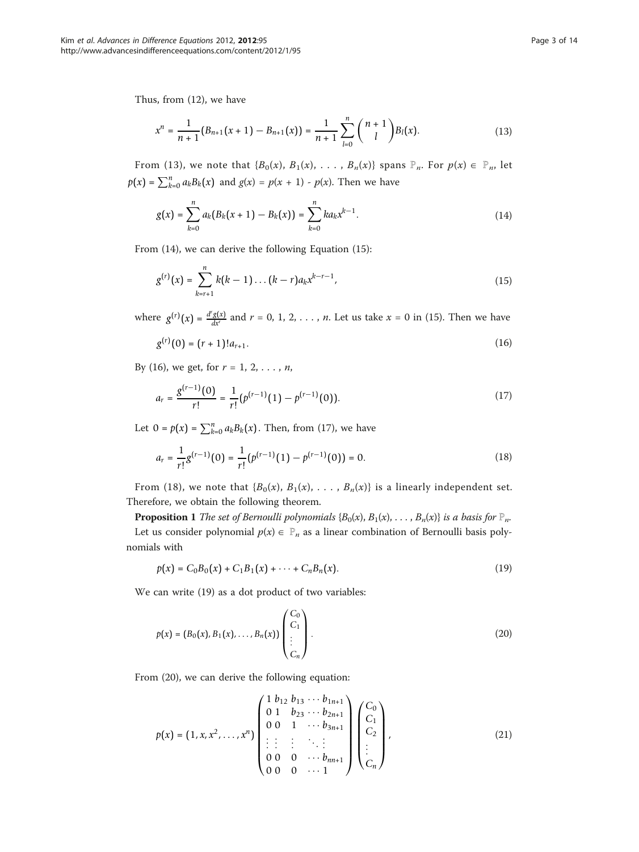Thus, from (12), we have

$$
x^{n} = \frac{1}{n+1}(B_{n+1}(x+1) - B_{n+1}(x)) = \frac{1}{n+1}\sum_{l=0}^{n} {n+1 \choose l}B_{l}(x).
$$
 (13)

From (13), we note that  ${B_0(x), B_1(x), \ldots, B_n(x)}$  spans  $\mathbb{P}_n$ . For  $p(x) \in \mathbb{P}_n$ , let  $p(x) = \sum_{k=0}^{n} a_k B_k(x)$  and  $g(x) = p(x + 1) - p(x)$ . Then we have

$$
g(x) = \sum_{k=0}^{n} a_k (B_k(x+1) - B_k(x)) = \sum_{k=0}^{n} k a_k x^{k-1}.
$$
 (14)

From (14), we can derive the following Equation (15):

$$
g^{(r)}(x) = \sum_{k=r+1}^{n} k(k-1) \dots (k-r) a_k x^{k-r-1},
$$
\n(15)

where  $g^{(r)}(x) = \frac{d^r g(x)}{dx^r}$  and  $r = 0, 1, 2, ..., n$ . Let us take  $x = 0$  in (15). Then we have

$$
g^{(r)}(0) = (r+1)!a_{r+1}.
$$
\n(16)

By (16), we get, for  $r = 1, 2, ..., n$ ,

$$
a_r = \frac{g^{(r-1)}(0)}{r!} = \frac{1}{r!} (p^{(r-1)}(1) - p^{(r-1)}(0)).
$$
\n(17)

Let  $0 = p(x) = \sum_{k=0}^{n} a_k B_k(x)$ . Then, from (17), we have

$$
a_r = \frac{1}{r!} g^{(r-1)}(0) = \frac{1}{r!} (p^{(r-1)}(1) - p^{(r-1)}(0)) = 0.
$$
 (18)

From (18), we note that  ${B_0(x), B_1(x), \ldots, B_n(x)}$  is a linearly independent set. Therefore, we obtain the following theorem.

**Proposition 1** The set of Bernoulli polynomials { $B_0(x)$ ,  $B_1(x)$ , ...,  $B_n(x)$ } is a basis for  $\mathbb{P}_n$ . Let us consider polynomial  $p(x) \in \mathbb{P}_n$  as a linear combination of Bernoulli basis polynomials with

$$
p(x) = C_0 B_0(x) + C_1 B_1(x) + \cdots + C_n B_n(x).
$$
 (19)

We can write (19) as a dot product of two variables:

$$
p(x) = (B_0(x), B_1(x), \dots, B_n(x)) \begin{pmatrix} C_0 \\ C_1 \\ \vdots \\ C_n \end{pmatrix}.
$$
 (20)

From (20), we can derive the following equation:

$$
p(x) = (1, x, x^{2}, \dots, x^{n}) \begin{pmatrix} 1 & b_{12} & b_{13} & \cdots & b_{1n+1} \\ 0 & 1 & b_{23} & \cdots & b_{2n+1} \\ 0 & 0 & 1 & \cdots & b_{3n+1} \\ \vdots & \vdots & \vdots & \ddots & \vdots \\ 0 & 0 & 0 & \cdots & b_{m+1} \\ 0 & 0 & 0 & \cdots & 1 \end{pmatrix} \begin{pmatrix} C_{0} \\ C_{1} \\ C_{2} \\ \vdots \\ C_{n} \end{pmatrix},
$$
(21)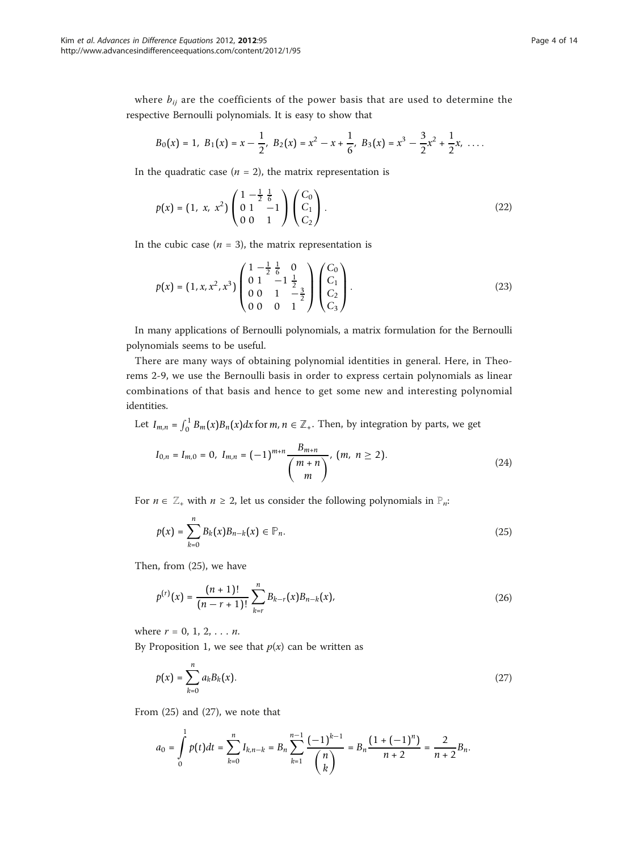where  $b_{ij}$  are the coefficients of the power basis that are used to determine the respective Bernoulli polynomials. It is easy to show that

$$
B_0(x) = 1
$$
,  $B_1(x) = x - \frac{1}{2}$ ,  $B_2(x) = x^2 - x + \frac{1}{6}$ ,  $B_3(x) = x^3 - \frac{3}{2}x^2 + \frac{1}{2}x$ , ...

In the quadratic case ( $n = 2$ ), the matrix representation is

$$
p(x) = (1, x, x^2) \begin{pmatrix} 1 & -\frac{1}{2} & \frac{1}{6} \\ 0 & 1 & -1 \\ 0 & 0 & 1 \end{pmatrix} \begin{pmatrix} C_0 \\ C_1 \\ C_2 \end{pmatrix}.
$$
 (22)

In the cubic case  $(n = 3)$ , the matrix representation is

$$
p(x) = (1, x, x^2, x^3) \begin{pmatrix} 1 & -\frac{1}{2} & \frac{1}{6} & 0 \\ 0 & 1 & -1 & \frac{1}{2} \\ 0 & 0 & 1 & -\frac{3}{2} \\ 0 & 0 & 0 & 1 \end{pmatrix} \begin{pmatrix} C_0 \\ C_1 \\ C_2 \\ C_3 \end{pmatrix}.
$$
 (23)

In many applications of Bernoulli polynomials, a matrix formulation for the Bernoulli polynomials seems to be useful.

There are many ways of obtaining polynomial identities in general. Here, in Theorems 2-9, we use the Bernoulli basis in order to express certain polynomials as linear combinations of that basis and hence to get some new and interesting polynomial identities.

Let  $I_{m,n} = \int_0^1 B_m(x)B_n(x)dx$  for  $m, n \in \mathbb{Z}_+$ . Then, by integration by parts, we get

$$
I_{0,n} = I_{m,0} = 0, I_{m,n} = (-1)^{m+n} \frac{B_{m+n}}{\binom{m+n}{m}}, (m, n \ge 2).
$$
 (24)

For  $n \in \mathbb{Z}_+$  with  $n \geq 2$ , let us consider the following polynomials in  $\mathbb{P}_n$ :

$$
p(x) = \sum_{k=0}^{n} B_k(x) B_{n-k}(x) \in \mathbb{P}_n.
$$
 (25)

Then, from (25), we have

$$
p^{(r)}(x) = \frac{(n+1)!}{(n-r+1)!} \sum_{k=r}^{n} B_{k-r}(x) B_{n-k}(x),
$$
 (26)

where  $r = 0, 1, 2, \ldots n$ .

By Proposition 1, we see that  $p(x)$  can be written as

$$
p(x) = \sum_{k=0}^{n} a_k B_k(x).
$$
 (27)

From (25) and (27), we note that

$$
a_0 = \int_0^1 p(t)dt = \sum_{k=0}^n I_{k,n-k} = B_n \sum_{k=1}^{n-1} \frac{(-1)^{k-1}}{\binom{n}{k}} = B_n \frac{(1+(-1)^n)}{n+2} = \frac{2}{n+2}B_n.
$$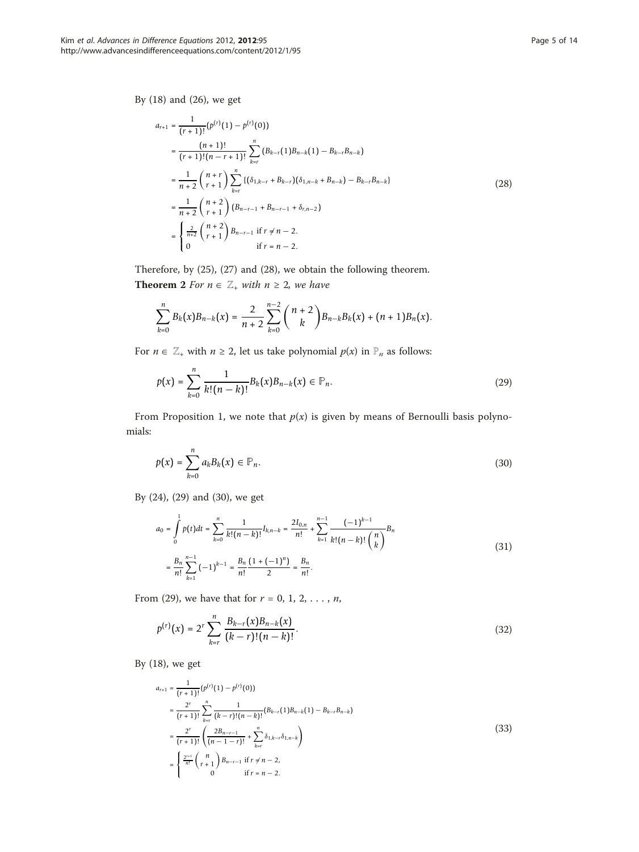By (18) and (26), we get

$$
a_{r+1} = \frac{1}{(r+1)!} (p^{(r)}(1) - p^{(r)}(0))
$$
  
\n
$$
= \frac{(n+1)!}{(r+1)!(n-r+1)!} \sum_{k=r}^{n} (B_{k-r}(1)B_{n-k}(1) - B_{k-r}B_{n-k})
$$
  
\n
$$
= \frac{1}{n+2} {n+r \choose r+1} \sum_{k=r}^{n} \{(\delta_{1,k-r} + B_{k-r})(\delta_{1,n-k} + B_{n-k}) - B_{k-r}B_{n-k}\}
$$
  
\n
$$
= \frac{1}{n+2} {n+2 \choose r+1} (B_{n-r-1} + B_{n-r-1} + \delta_{r,n-2})
$$
  
\n
$$
= \begin{cases} \frac{2}{n+2} {n+2 \choose r+1} B_{n-r-1} & \text{if } r \neq n-2, \\ 0 & \text{if } r = n-2. \end{cases}
$$
\n(28)

Therefore, by (25), (27) and (28), we obtain the following theorem. **Theorem 2** For  $n \in \mathbb{Z}_+$  with  $n \geq 2$ , we have

$$
\sum_{k=0}^n B_k(x)B_{n-k}(x) = \frac{2}{n+2}\sum_{k=0}^{n-2} {n+2 \choose k}B_{n-k}B_k(x) + (n+1)B_n(x).
$$

For  $n \in \mathbb{Z}_+$  with  $n \geq 2$ , let us take polynomial  $p(x)$  in  $\mathbb{P}_n$  as follows:

$$
p(x) = \sum_{k=0}^{n} \frac{1}{k!(n-k)!} B_k(x) B_{n-k}(x) \in \mathbb{P}_n.
$$
 (29)

From Proposition 1, we note that  $p(x)$  is given by means of Bernoulli basis polynomials:

$$
p(x) = \sum_{k=0}^{n} a_k B_k(x) \in \mathbb{P}_n.
$$
 (30)

By (24), (29) and (30), we get

$$
a_0 = \int_0^1 p(t)dt = \sum_{k=0}^n \frac{1}{k!(n-k)!} I_{k,n-k} = \frac{2I_{0,n}}{n!} + \sum_{k=1}^{n-1} \frac{(-1)^{k-1}}{k!(n-k)!} I_{n}
$$
  

$$
= \frac{B_n}{n!} \sum_{k=1}^{n-1} (-1)^{k-1} = \frac{B_n}{n!} \frac{(1+(-1)^n)}{2} = \frac{B_n}{n!}.
$$
 (31)

From (29), we have that for  $r = 0, 1, 2, ..., n$ ,

$$
p^{(r)}(x) = 2^r \sum_{k=r}^{n} \frac{B_{k-r}(x)B_{n-k}(x)}{(k-r)!(n-k)!}.
$$
\n(32)

By (18), we get

$$
a_{r+1} = \frac{1}{(r+1)!} (p^{(r)}(1) - p^{(r)}(0))
$$
  
\n
$$
= \frac{2^r}{(r+1)!} \sum_{k=r}^n \frac{1}{(k-r)!(n-k)!} (B_{k-r}(1)B_{n-k}(1) - B_{k-r}B_{n-k})
$$
  
\n
$$
= \frac{2^r}{(r+1)!} \left( \frac{2B_{n-r-1}}{(n-1-r)!} + \sum_{k=r}^n \delta_{1,k-r} \delta_{1,n-k} \right)
$$
  
\n
$$
= \begin{cases} \frac{2^{r+1}}{n!} {n \choose r+1} B_{n-r-1} & \text{if } r \neq n-2, \\ 0 & \text{if } r = n-2. \end{cases}
$$
  
\n(33)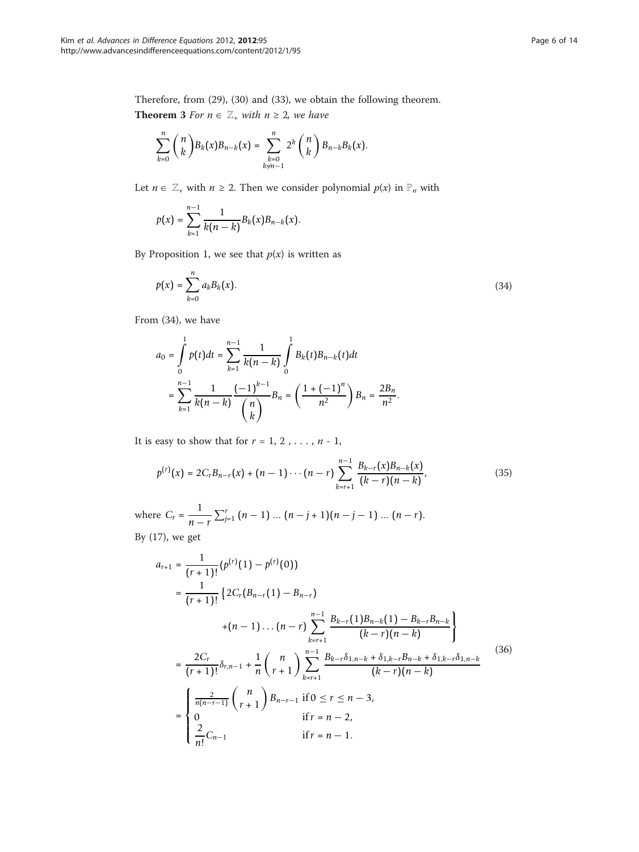Therefore, from (29), (30) and (33), we obtain the following theorem. **Theorem 3** For  $n \in \mathbb{Z}_+$  with  $n \geq 2$ , we have

$$
\sum_{k=0}^{n} {n \choose k} B_{k}(x) B_{n-k}(x) = \sum_{\substack{k=0 \ k \neq n-1}}^{n} 2^{k} {n \choose k} B_{n-k} B_{k}(x).
$$

Let  $n \in \mathbb{Z}_+$  with  $n \ge 2$ . Then we consider polynomial  $p(x)$  in  $\mathbb{P}_n$  with

$$
p(x) = \sum_{k=1}^{n-1} \frac{1}{k(n-k)} B_k(x) B_{n-k}(x).
$$

By Proposition 1, we see that  $p(x)$  is written as

$$
p(x) = \sum_{k=0}^{n} a_k B_k(x).
$$
 (34)

From (34), we have

$$
a_0 = \int_0^1 p(t)dt = \sum_{k=1}^{n-1} \frac{1}{k(n-k)} \int_0^1 B_k(t)B_{n-k}(t)dt
$$
  
= 
$$
\sum_{k=1}^{n-1} \frac{1}{k(n-k)} \frac{(-1)^{k-1}}{\binom{n}{k}} B_n = \left(\frac{1+(-1)^n}{n^2}\right) B_n = \frac{2B_n}{n^2}.
$$

It is easy to show that for  $r = 1, 2, \ldots, n - 1$ ,

$$
p^{(r)}(x) = 2C_r B_{n-r}(x) + (n-1)\cdots(n-r) \sum_{k=r+1}^{n-1} \frac{B_{k-r}(x)B_{n-k}(x)}{(k-r)(n-k)},
$$
\n(35)

where  $C_r = \frac{1}{r}$ *n* − *r*  $\sum_{j=1}^{r} (n-1) \dots (n-j+1)(n-j-1) \dots (n-r)$ . By (17), we get

$$
a_{r+1} = \frac{1}{(r+1)!} (p^{(r)}(1) - p^{(r)}(0))
$$
  
\n
$$
= \frac{1}{(r+1)!} \left\{ 2C_r (B_{n-r}(1) - B_{n-r})
$$
  
\n
$$
+ (n-1) \dots (n-r) \sum_{k=r+1}^{n-1} \frac{B_{k-r}(1)B_{n-k}(1) - B_{k-r}B_{n-k}}{(k-r)(n-k)} \right\}
$$
  
\n
$$
= \frac{2C_r}{(r+1)!} \delta_{r,n-1} + \frac{1}{n} {n \choose r+1} \sum_{k=r+1}^{n-1} \frac{B_{k-r}\delta_{1,n-k} + \delta_{1,k-r}B_{n-k} + \delta_{1,k-r}\delta_{1,n-k}}{(k-r)(n-k)}
$$
  
\n
$$
= \begin{cases} \frac{2}{n(n-r-1)} {n \choose r+1} B_{n-r-1} & \text{if } 0 \le r \le n-3, \\ 0 & \text{if } r = n-2, \\ \frac{2}{n!} C_{n-1} & \text{if } r = n-1. \end{cases}
$$
(36)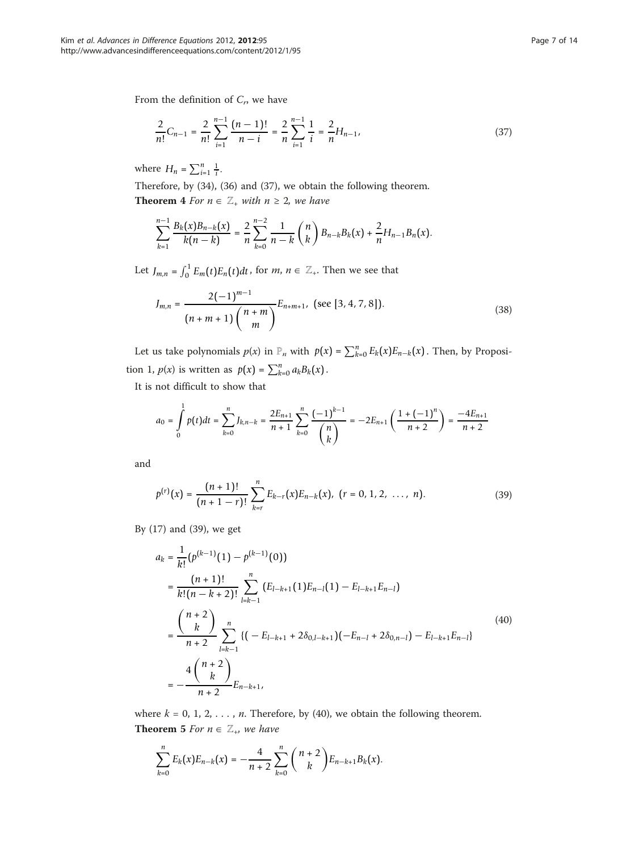From the definition of  $C_r$ , we have

$$
\frac{2}{n!}C_{n-1} = \frac{2}{n!} \sum_{i=1}^{n-1} \frac{(n-1)!}{n-i} = \frac{2}{n} \sum_{i=1}^{n-1} \frac{1}{i} = \frac{2}{n} H_{n-1},\tag{37}
$$

where  $H_n = \sum_{i=1}^n \frac{1}{i}$ .

Therefore, by (34), (36) and (37), we obtain the following theorem.

**Theorem 4** For  $n \in \mathbb{Z}_+$  with  $n \geq 2$ , we have

$$
\sum_{k=1}^{n-1} \frac{B_k(x)B_{n-k}(x)}{k(n-k)} = \frac{2}{n} \sum_{k=0}^{n-2} \frac{1}{n-k} {n \choose k} B_{n-k} B_k(x) + \frac{2}{n} H_{n-1} B_n(x).
$$

Let  $J_{m,n} = \int_0^1 E_m(t) E_n(t) dt$ , for  $m, n \in \mathbb{Z}_+$ . Then we see that

$$
J_{m,n} = \frac{2(-1)^{m-1}}{(n+m+1)\binom{n+m}{m}} E_{n+m+1}, \text{ (see [3, 4, 7, 8]).}
$$
\n(38)

Let us take polynomials  $p(x)$  in  $\mathbb{P}_n$  with  $p(x) = \sum_{k=0}^n E_k(x) E_{n-k}(x)$ . Then, by Proposition 1,  $p(x)$  is written as  $p(x) = \sum_{k=0}^{n} a_k B_k(x)$ .

It is not difficult to show that

$$
a_0 = \int_0^1 p(t)dt = \sum_{k=0}^n J_{k,n-k} = \frac{2E_{n+1}}{n+1} \sum_{k=0}^n \frac{(-1)^{k-1}}{\binom{n}{k}} = -2E_{n+1} \left(\frac{1+(-1)^n}{n+2}\right) = \frac{-4E_{n+1}}{n+2}
$$

and

$$
p^{(r)}(x) = \frac{(n+1)!}{(n+1-r)!} \sum_{k=r}^{n} E_{k-r}(x) E_{n-k}(x), (r = 0, 1, 2, ..., n).
$$
 (39)

By (17) and (39), we get

$$
a_{k} = \frac{1}{k!} (p^{(k-1)}(1) - p^{(k-1)}(0))
$$
  
\n
$$
= \frac{(n+1)!}{k! (n-k+2)!} \sum_{l=k-1}^{n} (E_{l-k+1}(1)E_{n-l}(1) - E_{l-k+1}E_{n-l})
$$
  
\n
$$
= \frac{\binom{n+2}{k}}{n+2} \sum_{l=k-1}^{n} \{(-E_{l-k+1} + 2\delta_{0,l-k+1})(-E_{n-l} + 2\delta_{0,n-l}) - E_{l-k+1}E_{n-l}\}
$$
  
\n
$$
= -\frac{4\binom{n+2}{k}}{n+2}E_{n-k+1},
$$
\n(40)

where  $k = 0, 1, 2, \ldots, n$ . Therefore, by (40), we obtain the following theorem. **Theorem 5** For  $n \in \mathbb{Z}_+$ , we have

$$
\sum_{k=0}^{n} E_k(x) E_{n-k}(x) = -\frac{4}{n+2} \sum_{k=0}^{n} {n+2 \choose k} E_{n-k+1} B_k(x).
$$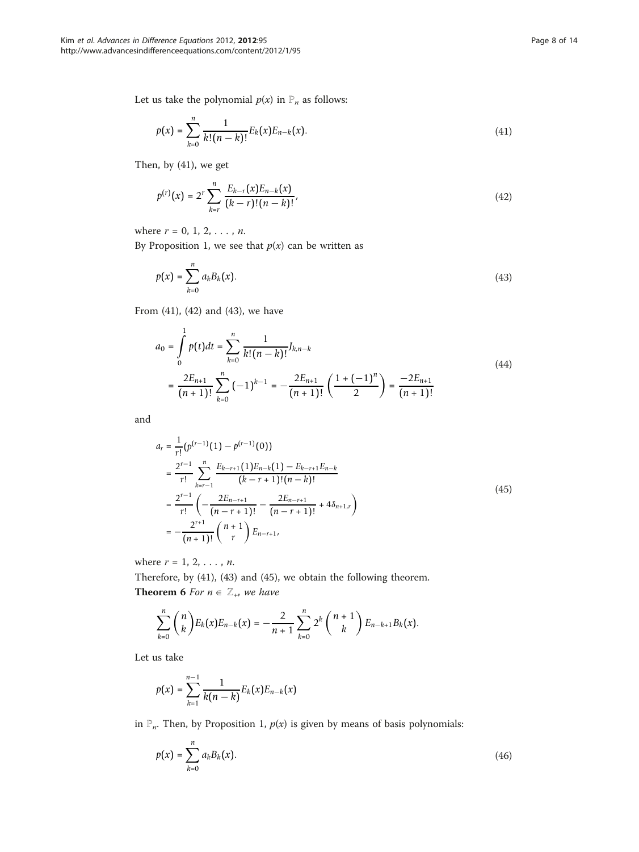Let us take the polynomial  $p(x)$  in  $\mathbb{P}_n$  as follows:

$$
p(x) = \sum_{k=0}^{n} \frac{1}{k!(n-k)!} E_k(x) E_{n-k}(x).
$$
 (41)

Then, by (41), we get

$$
p^{(r)}(x) = 2^r \sum_{k=r}^{n} \frac{E_{k-r}(x)E_{n-k}(x)}{(k-r)!(n-k)!},
$$
\n(42)

where  $r = 0, 1, 2, \ldots, n$ .

By Proposition 1, we see that  $p(x)$  can be written as

$$
p(x) = \sum_{k=0}^{n} a_k B_k(x).
$$
 (43)

From (41), (42) and (43), we have

$$
a_0 = \int_0^1 p(t)dt = \sum_{k=0}^n \frac{1}{k!(n-k)!} J_{k,n-k}
$$
  
= 
$$
\frac{2E_{n+1}}{(n+1)!} \sum_{k=0}^n (-1)^{k-1} = -\frac{2E_{n+1}}{(n+1)!} \left(\frac{1+(-1)^n}{2}\right) = \frac{-2E_{n+1}}{(n+1)!}
$$
 (44)

and

$$
a_{r} = \frac{1}{r!} (p^{(r-1)}(1) - p^{(r-1)}(0))
$$
  
\n
$$
= \frac{2^{r-1}}{r!} \sum_{k=r-1}^{n} \frac{E_{k-r+1}(1)E_{n-k}(1) - E_{k-r+1}E_{n-k}}{(k-r+1)!(n-k)!}
$$
  
\n
$$
= \frac{2^{r-1}}{r!} \left( -\frac{2E_{n-r+1}}{(n-r+1)!} - \frac{2E_{n-r+1}}{(n-r+1)!} + 4\delta_{n+1,r} \right)
$$
  
\n
$$
= -\frac{2^{r+1}}{(n+1)!} {n+1 \choose r} E_{n-r+1}, \qquad (45)
$$

where  $r = 1, 2, \ldots, n$ .

Therefore, by (41), (43) and (45), we obtain the following theorem. **Theorem 6** For  $n \in \mathbb{Z}_+$ , we have

$$
\sum_{k=0}^n \binom{n}{k} E_k(x) E_{n-k}(x) = -\frac{2}{n+1} \sum_{k=0}^n 2^k \binom{n+1}{k} E_{n-k+1} B_k(x).
$$

Let us take

$$
p(x) = \sum_{k=1}^{n-1} \frac{1}{k(n-k)} E_k(x) E_{n-k}(x)
$$

in  $\mathbb{P}_n$ . Then, by Proposition 1,  $p(x)$  is given by means of basis polynomials:

$$
p(x) = \sum_{k=0}^{n} a_k B_k(x).
$$
 (46)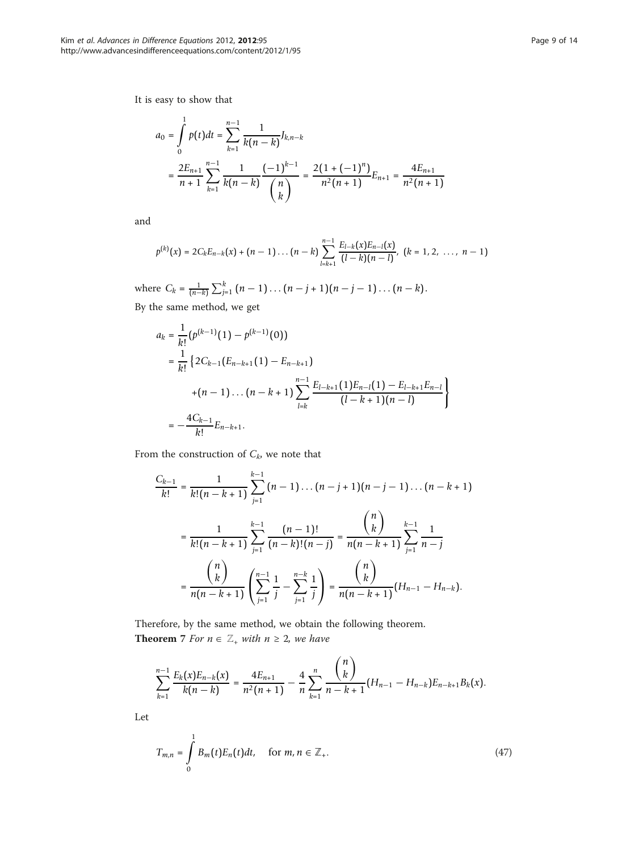It is easy to show that

$$
a_0 = \int_0^1 p(t)dt = \sum_{k=1}^{n-1} \frac{1}{k(n-k)} J_{k,n-k}
$$
  
= 
$$
\frac{2E_{n+1}}{n+1} \sum_{k=1}^{n-1} \frac{1}{k(n-k)} \frac{(-1)^{k-1}}{\binom{n}{k}} = \frac{2(1+(-1)^n)}{n^2(n+1)} E_{n+1} = \frac{4E_{n+1}}{n^2(n+1)}
$$

and

$$
p^{(k)}(x) = 2C_k E_{n-k}(x) + (n-1)\dots (n-k) \sum_{l=k+1}^{n-1} \frac{E_{l-k}(x)E_{n-l}(x)}{(l-k)(n-l)}, \ (k=1,2,\dots, n-1)
$$

where  $C_k = \frac{1}{(n-k)} \sum_{j=1}^k (n-1) \dots (n-j+1)(n-j-1) \dots (n-k)$ . By the same method, we get

$$
a_k = \frac{1}{k!} (p^{(k-1)}(1) - p^{(k-1)}(0))
$$
  
=  $\frac{1}{k!} \{2C_{k-1}(E_{n-k+1}(1) - E_{n-k+1})$   
+ $(n-1)...(n-k+1) \sum_{l=k}^{n-1} \frac{E_{l-k+1}(1)E_{n-l}(1) - E_{l-k+1}E_{n-l}}{(l-k+1)(n-l)}$   
=  $-\frac{4C_{k-1}}{k!}E_{n-k+1}.$ 

From the construction of  $C_k$ , we note that

$$
\frac{C_{k-1}}{k!} = \frac{1}{k! (n-k+1)} \sum_{j=1}^{k-1} (n-1) \dots (n-j+1) (n-j-1) \dots (n-k+1)
$$

$$
= \frac{1}{k! (n-k+1)} \sum_{j=1}^{k-1} \frac{(n-1)!}{(n-k)! (n-j)} = \frac{\binom{n}{k}}{n(n-k+1)} \sum_{j=1}^{k-1} \frac{1}{n-j}
$$

$$
= \frac{\binom{n}{k}}{n(n-k+1)} \left(\sum_{j=1}^{n-1} \frac{1}{j} - \sum_{j=1}^{n-k} \frac{1}{j}\right) = \frac{\binom{n}{k}}{n(n-k+1)} (H_{n-1} - H_{n-k}).
$$

Therefore, by the same method, we obtain the following theorem. **Theorem** 7 For  $n \in \mathbb{Z}_+$  with  $n \geq 2$ , we have

$$
\sum_{k=1}^{n-1} \frac{E_k(x)E_{n-k}(x)}{k(n-k)} = \frac{4E_{n+1}}{n^2(n+1)} - \frac{4}{n} \sum_{k=1}^n \frac{\binom{n}{k}}{n-k+1} (H_{n-1} - H_{n-k})E_{n-k+1}B_k(x).
$$

Let

$$
T_{m,n} = \int_{0}^{1} B_m(t) E_n(t) dt, \quad \text{for } m, n \in \mathbb{Z}_+.
$$
 (47)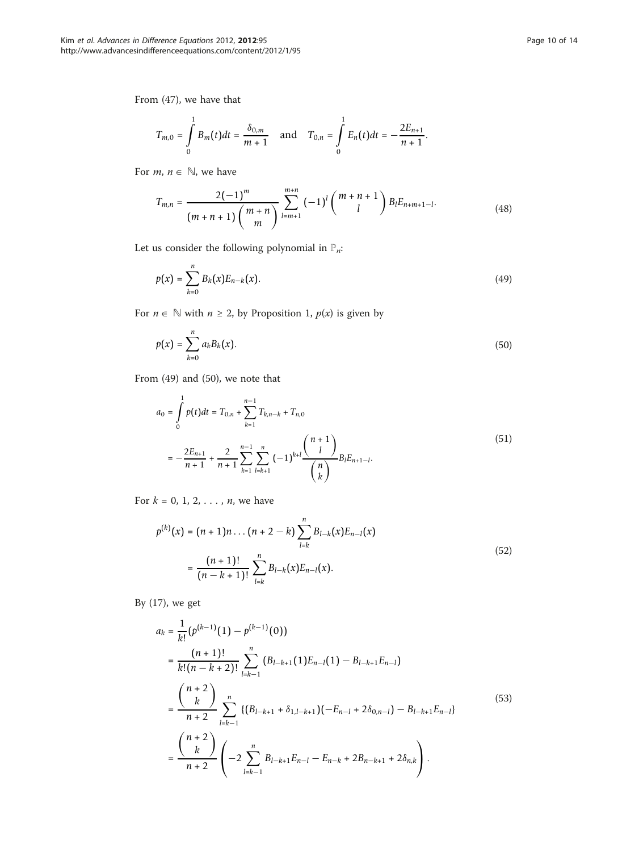From (47), we have that

$$
T_{m,0} = \int\limits_{0}^{1} B_m(t)dt = \frac{\delta_{0,m}}{m+1} \quad \text{and} \quad T_{0,n} = \int\limits_{0}^{1} E_n(t)dt = -\frac{2E_{n+1}}{n+1}.
$$

For  $m, n \in \mathbb{N}$ , we have

$$
T_{m,n} = \frac{2(-1)^m}{(m+n+1)\binom{m+n}{m}} \sum_{l=m+1}^{m+n} (-1)^l \binom{m+n+1}{l} B_l E_{n+m+1-l}.
$$
 (48)

Let us consider the following polynomial in  $\mathbb{P}_n$ :

$$
p(x) = \sum_{k=0}^{n} B_k(x) E_{n-k}(x).
$$
 (49)

For  $n \in \mathbb{N}$  with  $n \ge 2$ , by Proposition 1,  $p(x)$  is given by

$$
p(x) = \sum_{k=0}^{n} a_k B_k(x).
$$
 (50)

From (49) and (50), we note that

$$
a_0 = \int_0^1 p(t)dt = T_{0,n} + \sum_{k=1}^{n-1} T_{k,n-k} + T_{n,0}
$$
  
= 
$$
-\frac{2E_{n+1}}{n+1} + \frac{2}{n+1} \sum_{k=1}^{n-1} \sum_{l=k+1}^n (-1)^{k+l} \frac{\binom{n+1}{l}}{\binom{n}{k}} B_l E_{n+1-l}.
$$
 (51)

For  $k = 0, 1, 2, ..., n$ , we have

$$
p^{(k)}(x) = (n+1)n \dots (n+2-k) \sum_{l=k}^{n} B_{l-k}(x) E_{n-l}(x)
$$
  
= 
$$
\frac{(n+1)!}{(n-k+1)!} \sum_{l=k}^{n} B_{l-k}(x) E_{n-l}(x).
$$
 (52)

By (17), we get

$$
a_{k} = \frac{1}{k!} (p^{(k-1)}(1) - p^{(k-1)}(0))
$$
  
\n
$$
= \frac{(n+1)!}{k! (n-k+2)!} \sum_{l=k-1}^{n} (B_{l-k+1}(1) E_{n-l}(1) - B_{l-k+1} E_{n-l})
$$
  
\n
$$
= \frac{\binom{n+2}{k}}{n+2} \sum_{l=k-1}^{n} \{ (B_{l-k+1} + \delta_{1,l-k+1}) (-E_{n-l} + 2\delta_{0,n-l}) - B_{l-k+1} E_{n-l} \}
$$
  
\n
$$
= \frac{\binom{n+2}{k}}{n+2} \left( -2 \sum_{l=k-1}^{n} B_{l-k+1} E_{n-l} - E_{n-k} + 2B_{n-k+1} + 2\delta_{n,k} \right).
$$
\n(53)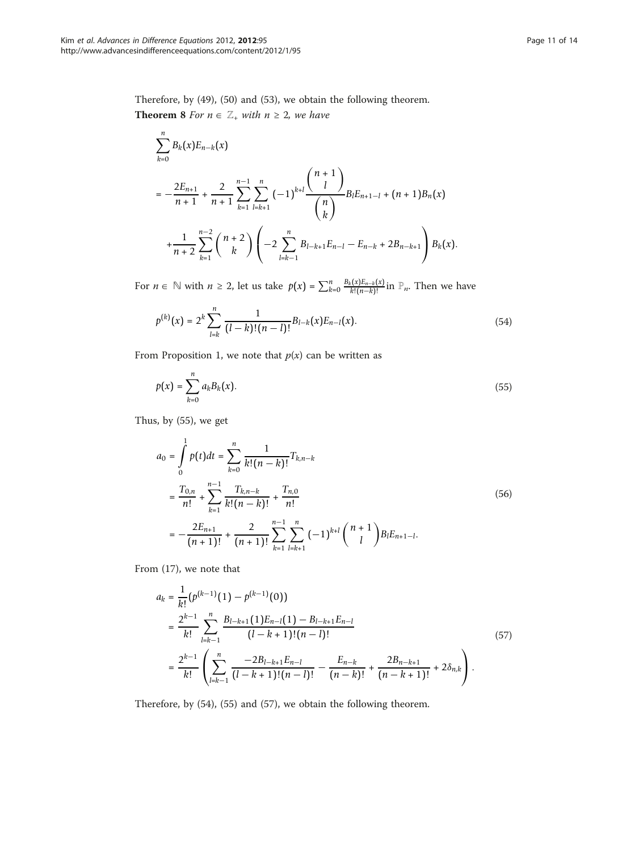Therefore, by (49), (50) and (53), we obtain the following theorem. **Theorem 8** For  $n \in \mathbb{Z}_+$  with  $n \geq 2$ , we have

$$
\sum_{k=0}^{n} B_k(x) E_{n-k}(x)
$$
\n
$$
= -\frac{2E_{n+1}}{n+1} + \frac{2}{n+1} \sum_{k=1}^{n-1} \sum_{l=k+1}^{n} (-1)^{k+l} \frac{\binom{n+1}{l}}{\binom{n}{k}} B_l E_{n+1-l} + (n+1)B_n(x)
$$
\n
$$
+ \frac{1}{n+2} \sum_{k=1}^{n-2} \binom{n+2}{k} \left(-2 \sum_{l=k-1}^{n} B_{l-k+1} E_{n-l} - E_{n-k} + 2B_{n-k+1} \right) B_k(x).
$$

For  $n \in \mathbb{N}$  with  $n \ge 2$ , let us take  $p(x) = \sum_{k=0}^{n} \frac{B_k(x)E_{n-k}(x)}{k!(n-k)!}$  in  $\mathbb{P}_n$ . Then we have

$$
p^{(k)}(x) = 2^k \sum_{l=k}^n \frac{1}{(l-k)!(n-l)!} B_{l-k}(x) E_{n-l}(x).
$$
 (54)

From Proposition 1, we note that  $p(x)$  can be written as

$$
p(x) = \sum_{k=0}^{n} a_k B_k(x).
$$
 (55)

Thus, by (55), we get

$$
a_0 = \int_0^1 p(t)dt = \sum_{k=0}^n \frac{1}{k!(n-k)!} T_{k,n-k}
$$
  
=  $\frac{T_{0,n}}{n!} + \sum_{k=1}^{n-1} \frac{T_{k,n-k}}{k!(n-k)!} + \frac{T_{n,0}}{n!}$   
=  $-\frac{2E_{n+1}}{(n+1)!} + \frac{2}{(n+1)!} \sum_{k=1}^{n-1} \sum_{l=k+1}^n (-1)^{k+l} {n+1 \choose l} B_l E_{n+1-l}.$  (56)

From (17), we note that

$$
a_{k} = \frac{1}{k!} (p^{(k-1)}(1) - p^{(k-1)}(0))
$$
  
\n
$$
= \frac{2^{k-1}}{k!} \sum_{l=k-1}^{n} \frac{B_{l-k+1}(1)E_{n-l}(1) - B_{l-k+1}E_{n-l}}{(l-k+1)!(n-l)!}
$$
  
\n
$$
= \frac{2^{k-1}}{k!} \left( \sum_{l=k-1}^{n} \frac{-2B_{l-k+1}E_{n-l}}{(l-k+1)!(n-l)!} - \frac{E_{n-k}}{(n-k)!} + \frac{2B_{n-k+1}}{(n-k+1)!} + 2\delta_{n,k} \right).
$$
\n(57)

Therefore, by (54), (55) and (57), we obtain the following theorem.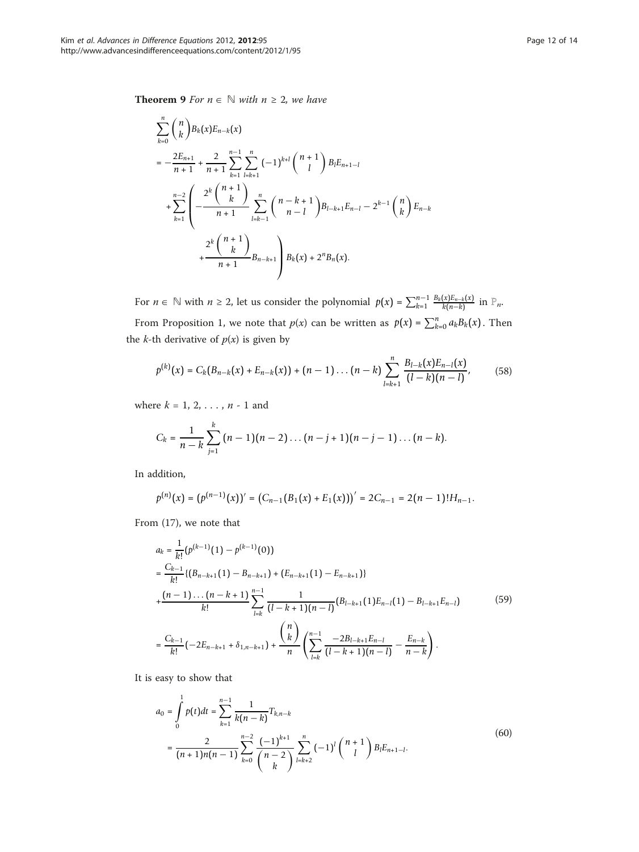**Theorem 9** *For*  $n \in \mathbb{N}$  *with*  $n \ge 2$ *, we have* 

$$
\sum_{k=0}^{n} {n \choose k} B_{k}(x) E_{n-k}(x)
$$
\n
$$
= -\frac{2E_{n+1}}{n+1} + \frac{2}{n+1} \sum_{k=1}^{n-1} \sum_{l=k+1}^{n} (-1)^{k+l} {n+1 \choose l} B_{l} E_{n+1-l}
$$
\n
$$
+ \sum_{k=1}^{n-2} \left( -\frac{2^{k} {n+1 \choose k}}{n+1} \sum_{l=k-1}^{n} {n-k+1 \choose n-l} B_{l-k+1} E_{n-l} - 2^{k-1} {n \choose k} E_{n-k}
$$
\n
$$
+ \frac{2^{k} {n+1 \choose k}}{n+1} B_{n-k+1} B_{k}(x) + 2^{n} B_{n}(x).
$$

For  $n \in \mathbb{N}$  with  $n \ge 2$ , let us consider the polynomial  $p(x) = \sum_{k=1}^{n-1} \frac{B_k(x)E_{n-k}(x)}{k(n-k)}$  in  $\mathbb{P}_n$ . From Proposition 1, we note that  $p(x)$  can be written as  $p(x) = \sum_{k=0}^{n} a_k B_k(x)$ . Then

the *k*-th derivative of  $p(x)$  is given by  $\sum_{l}^{n} B_{l-k}(x) E_{n-l}(x)$ 

$$
p^{(k)}(x) = C_k(B_{n-k}(x) + E_{n-k}(x)) + (n-1)\dots(n-k)\sum_{l=k+1} \frac{B_{l-k}(x)E_{n-l}(x)}{(l-k)(n-l)},
$$
(58)

where  $k = 1, 2, ..., n - 1$  and

$$
C_k = \frac{1}{n-k} \sum_{j=1}^k (n-1)(n-2) \dots (n-j+1)(n-j-1) \dots (n-k).
$$

In addition,

$$
p^{(n)}(x) = (p^{(n-1)}(x))' = (C_{n-1}(B_1(x) + E_1(x)))' = 2C_{n-1} = 2(n-1)!H_{n-1}.
$$

From (17), we note that

$$
a_{k} = \frac{1}{k!} (p^{(k-1)}(1) - p^{(k-1)}(0))
$$
  
\n
$$
= \frac{C_{k-1}}{k!} \{ (B_{n-k+1}(1) - B_{n-k+1}) + (E_{n-k+1}(1) - E_{n-k+1}) \}
$$
  
\n
$$
+ \frac{(n-1)\dots(n-k+1)}{k!} \sum_{l=k}^{n-1} \frac{1}{(l-k+1)(n-l)} (B_{l-k+1}(1)E_{n-l}(1) - B_{l-k+1}E_{n-l})
$$
  
\n
$$
= \frac{C_{k-1}}{k!} (-2E_{n-k+1} + \delta_{1,n-k+1}) + \frac{\binom{n}{k}}{n} \left( \sum_{l=k}^{n-1} \frac{-2B_{l-k+1}E_{n-l}}{(l-k+1)(n-l)} - \frac{E_{n-k}}{n-k} \right).
$$
\n(59)

It is easy to show that

$$
a_0 = \int_0^1 p(t)dt = \sum_{k=1}^{n-1} \frac{1}{k(n-k)} T_{k,n-k}
$$
  
= 
$$
\frac{2}{(n+1)n(n-1)} \sum_{k=0}^{n-2} \frac{(-1)^{k+1}}{\binom{n-2}{k}} \sum_{l=k+2}^n (-1)^l \binom{n+1}{l} B_l E_{n+1-l}.
$$
 (60)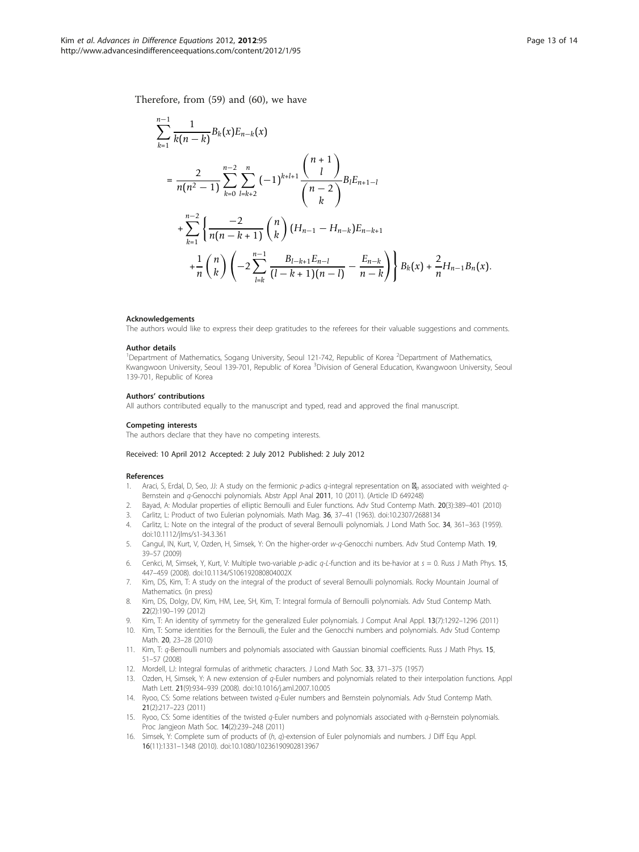<span id="page-12-0"></span>Therefore, from (59) and (60), we have

$$
\sum_{k=1}^{n-1} \frac{1}{k(n-k)} B_k(x) E_{n-k}(x)
$$
\n
$$
= \frac{2}{n(n^2 - 1)} \sum_{k=0}^{n-2} \sum_{l=k+2}^{n} (-1)^{k+l+1} \frac{\binom{n+1}{l}}{\binom{n-2}{k}} B_l E_{n+1-l}
$$
\n
$$
+ \sum_{k=1}^{n-2} \left\{ \frac{-2}{n(n-k+1)} \binom{n}{k} (H_{n-1} - H_{n-k}) E_{n-k+1} + \frac{1}{n} \binom{n}{k} \left( -2 \sum_{l=k}^{n-1} \frac{B_{l-k+1} E_{n-l}}{(l-k+1)(n-l)} - \frac{E_{n-k}}{n-k} \right) \right\} B_k(x) + \frac{2}{n} H_{n-1} B_n(x).
$$

#### **Acknowledgements**

The authors would like to express their deep gratitudes to the referees for their valuable suggestions and comments.

#### Author details

<sup>1</sup>Department of Mathematics, Sogang University, Seoul 121-742, Republic of Korea <sup>2</sup>Department of Mathematics, Kwangwoon University, Seoul 139-701, Republic of Korea <sup>3</sup>Division of General Education, Kwangwoon University, Seoul 139-701, Republic of Korea

#### Authors' contributions

All authors contributed equally to the manuscript and typed, read and approved the final manuscript.

#### Competing interests

The authors declare that they have no competing interests.

#### Received: 10 April 2012 Accepted: 2 July 2012 Published: 2 July 2012

#### References

- 1. Araci, S, Erdal, D, Seo, JJ: A study on the fermionic p-adics q-integral representation on **M**<sub>p</sub> associated with weighted q-Bernstein and q-Genocchi polynomials. Abstr Appl Anal 2011, 10 (2011). (Article ID 649248)
- 2. Bayad, A: Modular properties of elliptic Bernoulli and Euler functions. Adv Stud Contemp Math. 20(3):389–401 (2010)
- 3. Carlitz, L: Product of two Eulerian polynomials. Math Mag. 36, 37–41 (1963). doi:10.2307/2688134
- 4. Carlitz, L: Note on the integral of the product of several Bernoulli polynomials. J Lond Math Soc. 34, 361–363 (1959). doi:10.1112/jlms/s1-34.3.361
- 5. Cangul, IN, Kurt, V, Ozden, H, Simsek, Y: On the higher-order w-q-Genocchi numbers. Adv Stud Contemp Math. 19, 39–57 (2009)
- 6. Cenkci, M, Simsek, Y, Kurt, V: Multiple two-variable p-adic q-L-function and its be-havior at  $s = 0$ . Russ J Math Phys. 15, 447–459 (2008). doi:10.1134/S106192080804002X
- 7. Kim, DS, Kim, T: A study on the integral of the product of several Bernoulli polynomials. Rocky Mountain Journal of Mathematics. (in press)
- 8. Kim, DS, Dolgy, DV, Kim, HM, Lee, SH, Kim, T: Integral formula of Bernoulli polynomials. Adv Stud Contemp Math. 22(2):190–199 (2012)
- 9. Kim, T: An identity of symmetry for the generalized Euler polynomials. J Comput Anal Appl. 13(7):1292–1296 (2011)
- 10. Kim, T: Some identities for the Bernoulli, the Euler and the Genocchi numbers and polynomials. Adv Stud Contemp Math. 20, 23–28 (2010)
- 11. Kim, T: q-Bernoulli numbers and polynomials associated with Gaussian binomial coefficients. Russ J Math Phys. 15, 51–57 (2008)
- 12. Mordell, LJ: Integral formulas of arithmetic characters. J Lond Math Soc. 33, 371–375 (1957)
- 13. Ozden, H, Simsek, Y: A new extension of q-Euler numbers and polynomials related to their interpolation functions. Appl Math Lett. 21(9):934–939 (2008). doi:10.1016/j.aml.2007.10.005
- 14. Ryoo, CS: Some relations between twisted q-Euler numbers and Bernstein polynomials. Adv Stud Contemp Math. 21(2):217–223 (2011)
- 15. Ryoo, CS: Some identities of the twisted  $q$ -Euler numbers and polynomials associated with  $q$ -Bernstein polynomials. Proc Jangjeon Math Soc. 14(2):239–248 (2011)
- 16. Simsek, Y: Complete sum of products of (h, q)-extension of Euler polynomials and numbers. J Diff Equ Appl. 16(11):1331–1348 (2010). doi:10.1080/10236190902813967